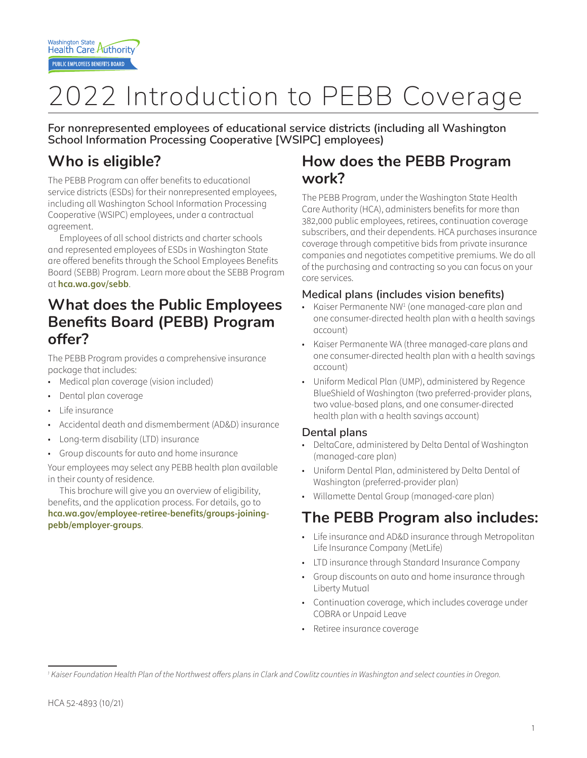# 2022 Introduction to PEBB Coverage

**For nonrepresented employees of educational service districts (including all Washington School Information Processing Cooperative [WSIPC] employees)**

# **Who is eligible?**

The PEBB Program can offer benefits to educational service districts (ESDs) for their nonrepresented employees, including all Washington School Information Processing Cooperative (WSIPC) employees, under a contractual agreement.

Employees of all school districts and charter schools and represented employees of ESDs in Washington State are offered benefits through the School Employees Benefits Board (SEBB) Program. Learn more about the SEBB Program at **hca.wa.gov/sebb**.

## **What does the Public Employees Benefits Board (PEBB) Program offer?**

The PEBB Program provides a comprehensive insurance package that includes:

- Medical plan coverage (vision included)
- Dental plan coverage
- Life insurance
- Accidental death and dismemberment (AD&D) insurance
- Long-term disability (LTD) insurance
- Group discounts for auto and home insurance

Your employees may select any PEBB health plan available in their county of residence.

This brochure will give you an overview of eligibility, benefits, and the application process. For details, go to **hca.wa.gov/employee-retiree-benefits/groups-joiningpebb/employer-groups**.

## **How does the PEBB Program work?**

The PEBB Program, under the Washington State Health Care Authority (HCA), administers benefits for more than 382,000 public employees, retirees, continuation coverage subscribers, and their dependents. HCA purchases insurance coverage through competitive bids from private insurance companies and negotiates competitive premiums. We do all of the purchasing and contracting so you can focus on your core services.

#### **Medical plans (includes vision benefits)**

- Kaiser Permanente NW<sup>1</sup> (one managed-care plan and one consumer-directed health plan with a health savings account)
- Kaiser Permanente WA (three managed-care plans and one consumer-directed health plan with a health savings account)
- Uniform Medical Plan (UMP), administered by Regence BlueShield of Washington (two preferred-provider plans, two value-based plans, and one consumer-directed health plan with a health savings account)

#### **Dental plans**

- DeltaCare, administered by Delta Dental of Washington (managed-care plan)
- Uniform Dental Plan, administered by Delta Dental of Washington (preferred-provider plan)
- Willamette Dental Group (managed-care plan)

# **The PEBB Program also includes:**

- Life insurance and AD&D insurance through Metropolitan Life Insurance Company (MetLife)
- LTD insurance through Standard Insurance Company
- Group discounts on auto and home insurance through Liberty Mutual
- Continuation coverage, which includes coverage under COBRA or Unpaid Leave
- Retiree insurance coverage

<sup>&</sup>lt;sup>1</sup> Kaiser Foundation Health Plan of the Northwest offers plans in Clark and Cowlitz counties in Washington and select counties in Oregon.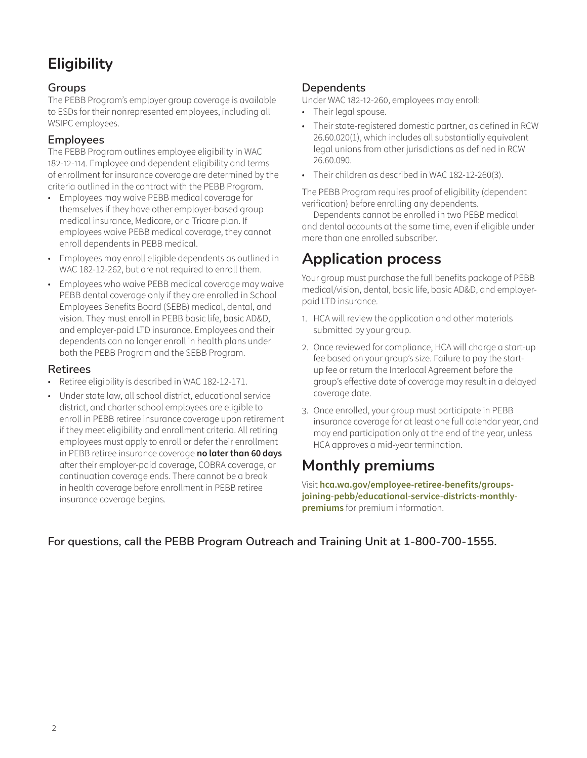# **Eligibility**

#### **Groups**

The PEBB Program's employer group coverage is available to ESDs for their nonrepresented employees, including all WSIPC employees.

#### **Employees**

The PEBB Program outlines employee eligibility in WAC 182-12-114. Employee and dependent eligibility and terms of enrollment for insurance coverage are determined by the criteria outlined in the contract with the PEBB Program.

- Employees may waive PEBB medical coverage for themselves if they have other employer-based group medical insurance, Medicare, or a Tricare plan. If employees waive PEBB medical coverage, they cannot enroll dependents in PEBB medical.
- Employees may enroll eligible dependents as outlined in WAC 182-12-262, but are not required to enroll them.
- Employees who waive PEBB medical coverage may waive PEBB dental coverage only if they are enrolled in School Employees Benefits Board (SEBB) medical, dental, and vision. They must enroll in PEBB basic life, basic AD&D, and employer-paid LTD insurance. Employees and their dependents can no longer enroll in health plans under both the PEBB Program and the SEBB Program.

#### **Retirees**

- Retiree eligibility is described in WAC 182-12-171.
- Under state law, all school district, educational service district, and charter school employees are eligible to enroll in PEBB retiree insurance coverage upon retirement if they meet eligibility and enrollment criteria. All retiring employees must apply to enroll or defer their enrollment in PEBB retiree insurance coverage **no later than 60 days** after their employer-paid coverage, COBRA coverage, or continuation coverage ends. There cannot be a break in health coverage before enrollment in PEBB retiree insurance coverage begins.

#### **Dependents**

Under WAC 182‑12‑260, employees may enroll:

- Their legal spouse.
- Their state-registered domestic partner, as defined in RCW 26.60.020(1), which includes all substantially equivalent legal unions from other jurisdictions as defined in RCW 26.60.090.
- Their children as described in WAC 182-12-260(3).

The PEBB Program requires proof of eligibility (dependent verification) before enrolling any dependents.

Dependents cannot be enrolled in two PEBB medical and dental accounts at the same time, even if eligible under more than one enrolled subscriber.

## **Application process**

Your group must purchase the full benefits package of PEBB medical/vision, dental, basic life, basic AD&D, and employerpaid LTD insurance.

- 1. HCA will review the application and other materials submitted by your group.
- 2. Once reviewed for compliance, HCA will charge a start-up fee based on your group's size. Failure to pay the startup fee or return the Interlocal Agreement before the group's effective date of coverage may result in a delayed coverage date.
- 3. Once enrolled, your group must participate in PEBB insurance coverage for at least one full calendar year, and may end participation only at the end of the year, unless HCA approves a mid-year termination.

## **Monthly premiums**

Visit **hca.wa.gov/employee-retiree-benefits/groupsjoining-pebb/educational-service-districts-monthlypremiums** for premium information.

#### **For questions, call the PEBB Program Outreach and Training Unit at 1-800-700-1555.**